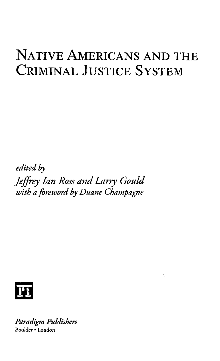## NATIVE AMERICANS AND THE CRIMINAL JUSTICE SYSTEM

*edited by Jeffrey Ian Ross and Larry Gould with a foreword by Duane Champagne*



*Paradigm Publishers* Boulder • London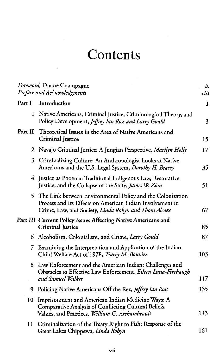## Contents

| Foreword, Duane Champagne<br>Preface and Acknowledgments |                                                                                                                                                                                 | ix<br>xiii |
|----------------------------------------------------------|---------------------------------------------------------------------------------------------------------------------------------------------------------------------------------|------------|
| Part I                                                   | Introduction                                                                                                                                                                    | 1          |
|                                                          | 1 Native Americans, Criminal Justice, Criminological Theory, and<br>Policy Development, Jeffrey Ian Ross and Larry Gould                                                        | 3          |
| Part II                                                  | Theoretical Issues in the Area of Native Americans and<br><b>Criminal Justice</b>                                                                                               | 15         |
| 2                                                        | Navajo Criminal Justice: A Jungian Perspective, Marilyn Holly                                                                                                                   | 17         |
| 3                                                        | Criminalizing Culture: An Anthropologist Looks at Native<br>Americans and the U.S. Legal System, Dorothy H. Bracey                                                              | 35         |
|                                                          | 4 Justice as Phoenix: Traditional Indigenous Law, Restorative<br>Justice, and the Collapse of the State, James W. Zion                                                          | 51         |
| 5.                                                       | The Link between Environmental Policy and the Colonization<br>Process and Its Effects on American Indian Involvement in<br>Crime, Law, and Society, Linda Robyn and Thom Alcoze | 67         |
|                                                          | Part III Current Policy Issues Affecting Native Americans and<br><b>Criminal Justice</b>                                                                                        | 85         |
|                                                          | 6 Alcoholism, Colonialism, and Crime, Larry Gould                                                                                                                               | 87         |
| 7.                                                       | Examining the Interpretation and Application of the Indian<br>Child Welfare Act of 1978, Tracey M. Bouvier                                                                      | 103        |
|                                                          | 8 Law Enforcement and the American Indian: Challenges and<br>Obstacles to Effective Law Enforcement, Eileen Luna-Firebaugh<br>and Samuel Walker                                 | 117        |
|                                                          |                                                                                                                                                                                 | 135        |
| 9.                                                       | Policing Native Americans Off the Rez, Jeffrey Ian Ross                                                                                                                         |            |
| 10                                                       | Imprisonment and American Indian Medicine Ways: A<br>Comparative Analysis of Conflicting Cultural Beliefs,<br>Values, and Practices, William G. Archambeault                    | 143        |
| 11                                                       | Criminalization of the Treaty Right to Fish: Response of the<br>Great Lakes Chippewa, Linda Robyn                                                                               | 161        |